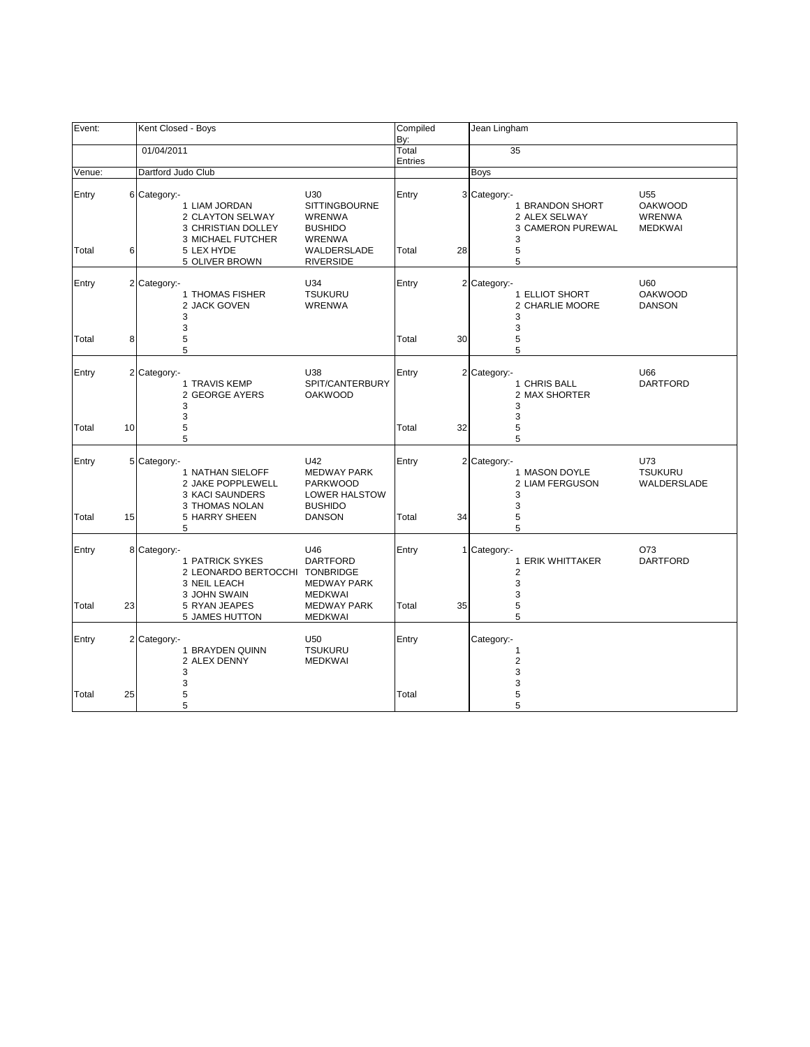| Event: |    | Kent Closed - Boys                                                                                |                                                                                        | Compiled<br>By:  |    | Jean Lingham                                                         |                                                   |
|--------|----|---------------------------------------------------------------------------------------------------|----------------------------------------------------------------------------------------|------------------|----|----------------------------------------------------------------------|---------------------------------------------------|
|        |    | 01/04/2011                                                                                        |                                                                                        | Total<br>Entries |    | 35                                                                   |                                                   |
| Venue: |    | Dartford Judo Club                                                                                |                                                                                        |                  |    | Boys                                                                 |                                                   |
| Entry  |    | 6 Category:-<br>1 LIAM JORDAN<br>2 CLAYTON SELWAY<br>3 CHRISTIAN DOLLEY                           | U30<br><b>SITTINGBOURNE</b><br><b>WRENWA</b><br><b>BUSHIDO</b>                         | Entry            |    | 3 Category:<br>1 BRANDON SHORT<br>2 ALEX SELWAY<br>3 CAMERON PUREWAL | U55<br><b>OAKWOOD</b><br>WRENWA<br><b>MEDKWAI</b> |
| Total  | 6  | 3 MICHAEL FUTCHER<br>5 LEX HYDE<br>5 OLIVER BROWN                                                 | <b>WRENWA</b><br><b>WALDERSLADE</b><br><b>RIVERSIDE</b>                                | Total            | 28 | 3<br>5<br>5                                                          |                                                   |
| Entry  |    | 2 Category:-<br>1 THOMAS FISHER<br>2 JACK GOVEN<br>3<br>3                                         | U34<br><b>TSUKURU</b><br>WRENWA                                                        | Entry            |    | 2 Category:-<br>1 ELLIOT SHORT<br>2 CHARLIE MOORE<br>3<br>3          | U60<br><b>OAKWOOD</b><br><b>DANSON</b>            |
| Total  | 8  | 5<br>5                                                                                            |                                                                                        | Total            | 30 | 5<br>5                                                               |                                                   |
| Entry  |    | 2 Category:-<br>1 TRAVIS KEMP<br>2 GEORGE AYERS<br>3                                              | U38<br>SPIT/CANTERBURY<br><b>OAKWOOD</b>                                               | Entry            |    | 2 Category:-<br>1 CHRIS BALL<br>2 MAX SHORTER<br>3                   | U66<br>DARTFORD                                   |
| Total  | 10 | 3<br>5<br>5                                                                                       |                                                                                        | Total<br>32      |    | 3<br>5<br>5                                                          |                                                   |
| Entry  |    | 5 Category:-<br>1 NATHAN SIELOFF<br>2 JAKE POPPLEWELL<br><b>3 KACI SAUNDERS</b><br>3 THOMAS NOLAN | U42<br><b>MEDWAY PARK</b><br><b>PARKWOOD</b><br><b>LOWER HALSTOW</b><br><b>BUSHIDO</b> | Entry            |    | 2 Category:-<br>1 MASON DOYLE<br>2 LIAM FERGUSON<br>3<br>3           | U73<br><b>TSUKURU</b><br>WALDERSLADE              |
| Total  | 15 | 5 HARRY SHEEN<br>5                                                                                | <b>DANSON</b>                                                                          | Total<br>34      |    | 5<br>5                                                               |                                                   |
| Entry  |    | 8 Category:-<br>1 PATRICK SYKES<br>2 LEONARDO BERTOCCHI TONBRIDGE<br>3 NEIL LEACH<br>3 JOHN SWAIN | U46<br><b>DARTFORD</b><br><b>MEDWAY PARK</b><br><b>MEDKWAI</b>                         | Entry            | 1  | Category:-<br>1 ERIK WHITTAKER<br>$\overline{2}$<br>3<br>3           | O73<br><b>DARTFORD</b>                            |
| Total  | 23 | 5 RYAN JEAPES<br>5 JAMES HUTTON                                                                   | <b>MEDWAY PARK</b><br><b>MEDKWAI</b>                                                   | Total            | 35 | 5<br>5                                                               |                                                   |
| Entry  |    | 2 Category:-<br>1 BRAYDEN QUINN<br>2 ALEX DENNY<br>3<br>3                                         | U50<br><b>TSUKURU</b><br><b>MEDKWAI</b>                                                | Entry            |    | Category:-<br>1<br>$\overline{\mathbf{c}}$<br>3<br>3                 |                                                   |
| Total  | 25 | 5<br>5                                                                                            |                                                                                        | Total            |    | 5<br>5                                                               |                                                   |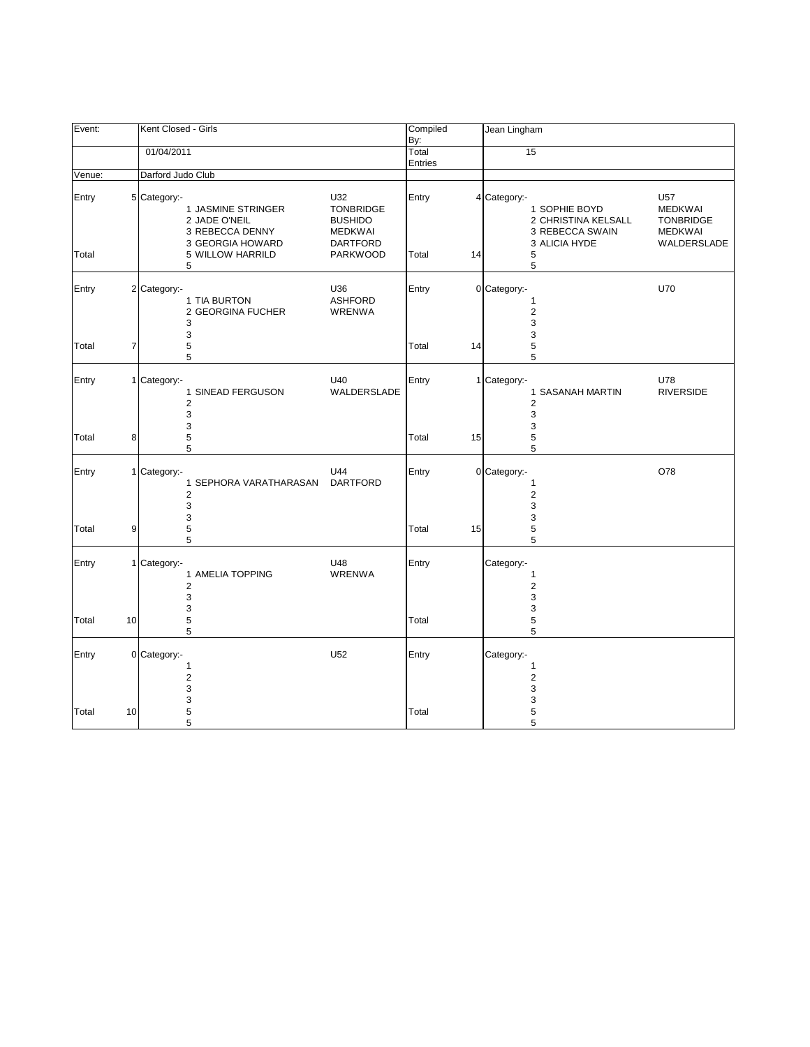| Event:         |    | Kent Closed - Girls |                                                                                                     |                                                                                                   | Compiled<br>By:  |    | Jean Lingham                                                                                       |                                                                            |
|----------------|----|---------------------|-----------------------------------------------------------------------------------------------------|---------------------------------------------------------------------------------------------------|------------------|----|----------------------------------------------------------------------------------------------------|----------------------------------------------------------------------------|
|                |    | 01/04/2011          |                                                                                                     |                                                                                                   | Total<br>Entries |    | 15                                                                                                 |                                                                            |
| Venue:         |    | Darford Judo Club   |                                                                                                     |                                                                                                   |                  |    |                                                                                                    |                                                                            |
| Entry<br>Total |    | 5 Category:-        | 1 JASMINE STRINGER<br>2 JADE O'NEIL<br>3 REBECCA DENNY<br>3 GEORGIA HOWARD<br>5 WILLOW HARRILD<br>5 | U32<br><b>TONBRIDGE</b><br><b>BUSHIDO</b><br><b>MEDKWAI</b><br><b>DARTFORD</b><br><b>PARKWOOD</b> | Entry<br>Total   | 14 | 4 Category:-<br>1 SOPHIE BOYD<br>2 CHRISTINA KELSALL<br>3 REBECCA SWAIN<br>3 ALICIA HYDE<br>5<br>5 | U57<br><b>MEDKWAI</b><br><b>TONBRIDGE</b><br><b>MEDKWAI</b><br>WALDERSLADE |
| Entry<br>Total | 7  | 2 Category:-        | 1 TIA BURTON<br>2 GEORGINA FUCHER<br>3<br>3<br>5<br>5                                               | U36<br><b>ASHFORD</b><br><b>WRENWA</b>                                                            | Entry<br>Total   | 14 | 0 Category:-<br>$\mathbf{1}$<br>$\overline{2}$<br>3<br>3<br>5<br>5                                 | U70                                                                        |
| Entry          |    | 1 Category:-        | 1 SINEAD FERGUSON<br>$\overline{2}$<br>3<br>3                                                       | U40<br>WALDERSLADE                                                                                | Entry            |    | 1 Category:-<br>1 SASANAH MARTIN<br>2<br>3<br>3                                                    | U78<br><b>RIVERSIDE</b>                                                    |
| Total          | 8  |                     | 5<br>5                                                                                              |                                                                                                   | Total            | 15 | 5<br>5                                                                                             |                                                                            |
| Entry          |    | 1 Category:-        | 1 SEPHORA VARATHARASAN<br>$\overline{2}$<br>3                                                       | U44<br><b>DARTFORD</b>                                                                            | Entry            |    | 0 Category:-<br>1<br>$\overline{2}$<br>3                                                           | O78                                                                        |
| Total          | 9  |                     | 3<br>5<br>5                                                                                         |                                                                                                   | Total            | 15 | 3<br>5<br>5                                                                                        |                                                                            |
| Entry          |    | 1 Category:-        | 1 AMELIA TOPPING<br>$\overline{2}$<br>3<br>3                                                        | U48<br><b>WRENWA</b>                                                                              | Entry            |    | Category:-<br>1<br>$\overline{2}$<br>3<br>3                                                        |                                                                            |
| Total          | 10 |                     | 5<br>5                                                                                              |                                                                                                   | Total            |    | 5<br>5                                                                                             |                                                                            |
| Entry          |    | 0 Category:-        | $\mathbf{1}$<br>$\overline{2}$<br>3                                                                 | U <sub>52</sub>                                                                                   | Entry            |    | Category:-<br>$\mathbf{1}$<br>$\overline{2}$<br>3                                                  |                                                                            |
| Total          | 10 |                     | 3<br>5<br>5                                                                                         |                                                                                                   | Total            |    | 3<br>5<br>5                                                                                        |                                                                            |